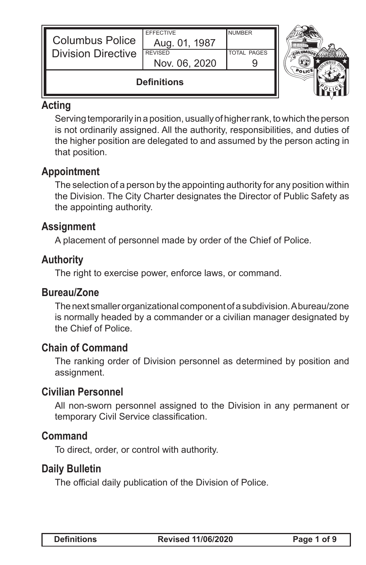| <b>Columbus Police</b><br><b>Division Directive</b> | Aug. 01, 1987<br><b>REVISED</b><br>Nov. 06, 2020 | <b>TOTAL PAGES</b> |  |
|-----------------------------------------------------|--------------------------------------------------|--------------------|--|
| <b>Definitions</b>                                  |                                                  |                    |  |

## **Acting**

Serving temporarily in a position, usually of higher rank, to which the person is not ordinarily assigned. All the authority, responsibilities, and duties of the higher position are delegated to and assumed by the person acting in that position.

## **Appointment**

The selection of a person by the appointing authority for any position within the Division. The City Charter designates the Director of Public Safety as the appointing authority.

## **Assignment**

A placement of personnel made by order of the Chief of Police.

## **Authority**

The right to exercise power, enforce laws, or command.

## **Bureau/Zone**

The next smaller organizational component of a subdivision. A bureau/zone is normally headed by a commander or a civilian manager designated by the Chief of Police.

## **Chain of Command**

The ranking order of Division personnel as determined by position and assignment.

## **Civilian Personnel**

All non-sworn personnel assigned to the Division in any permanent or temporary Civil Service classification.

## **Command**

To direct, order, or control with authority.

## **Daily Bulletin**

The official daily publication of the Division of Police.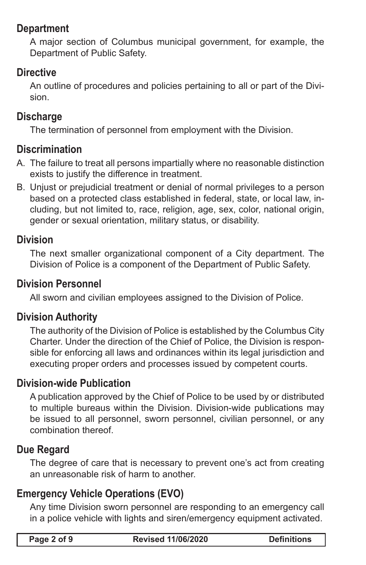### **Department**

A major section of Columbus municipal government, for example, the Department of Public Safety.

## **Directive**

An outline of procedures and policies pertaining to all or part of the Division.

### **Discharge**

The termination of personnel from employment with the Division.

### **Discrimination**

- A. The failure to treat all persons impartially where no reasonable distinction exists to justify the difference in treatment.
- B. Unjust or prejudicial treatment or denial of normal privileges to a person based on a protected class established in federal, state, or local law, including, but not limited to, race, religion, age, sex, color, national origin, gender or sexual orientation, military status, or disability.

### **Division**

The next smaller organizational component of a City department. The Division of Police is a component of the Department of Public Safety.

#### **Division Personnel**

All sworn and civilian employees assigned to the Division of Police.

## **Division Authority**

The authority of the Division of Police is established by the Columbus City Charter. Under the direction of the Chief of Police, the Division is responsible for enforcing all laws and ordinances within its legal jurisdiction and executing proper orders and processes issued by competent courts.

#### **Division-wide Publication**

A publication approved by the Chief of Police to be used by or distributed to multiple bureaus within the Division. Division-wide publications may be issued to all personnel, sworn personnel, civilian personnel, or any combination thereof.

## **Due Regard**

The degree of care that is necessary to prevent one's act from creating an unreasonable risk of harm to another.

## **Emergency Vehicle Operations (EVO)**

Any time Division sworn personnel are responding to an emergency call in a police vehicle with lights and siren/emergency equipment activated.

| Page 2 of 9 | <b>Revised 11/06/2020</b> | <b>Definitions</b> |
|-------------|---------------------------|--------------------|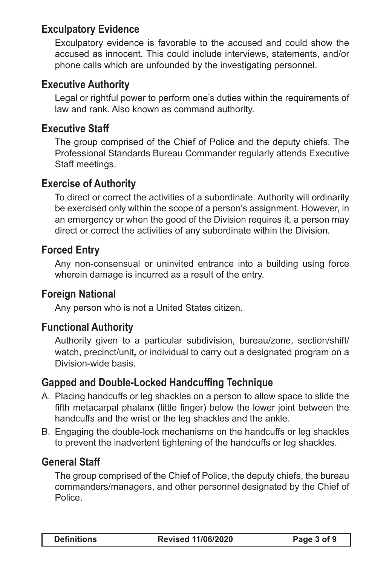## **Exculpatory Evidence**

Exculpatory evidence is favorable to the accused and could show the accused as innocent. This could include interviews, statements, and/or phone calls which are unfounded by the investigating personnel.

### **Executive Authority**

Legal or rightful power to perform one's duties within the requirements of law and rank. Also known as command authority.

#### **Executive Staff**

The group comprised of the Chief of Police and the deputy chiefs. The Professional Standards Bureau Commander regularly attends Executive Staff meetings.

### **Exercise of Authority**

To direct or correct the activities of a subordinate. Authority will ordinarily be exercised only within the scope of a person's assignment. However, in an emergency or when the good of the Division requires it, a person may direct or correct the activities of any subordinate within the Division.

## **Forced Entry**

Any non-consensual or uninvited entrance into a building using force wherein damage is incurred as a result of the entry.

#### **Foreign National**

Any person who is not a United States citizen.

## **Functional Authority**

Authority given to a particular subdivision, bureau/zone, section/shift/ watch, precinct/unit*,* or individual to carry out a designated program on a Division-wide basis.

#### **Gapped and Double-Locked Handcuffing Technique**

- A. Placing handcuffs or leg shackles on a person to allow space to slide the fifth metacarpal phalanx (little finger) below the lower joint between the handcuffs and the wrist or the leg shackles and the ankle.
- B. Engaging the double-lock mechanisms on the handcuffs or leg shackles to prevent the inadvertent tightening of the handcuffs or leg shackles.

## **General Staff**

The group comprised of the Chief of Police, the deputy chiefs, the bureau commanders/managers, and other personnel designated by the Chief of Police.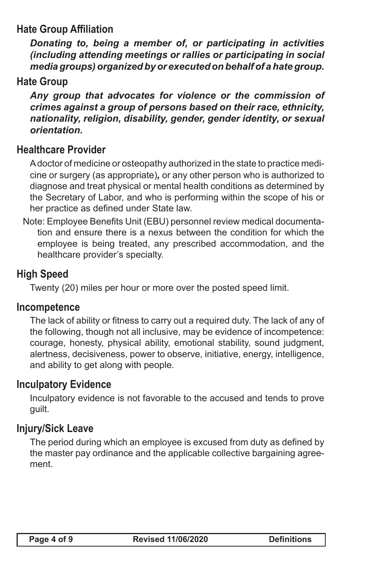## **Hate Group Affiliation**

*Donating to, being a member of, or participating in activities (including attending meetings or rallies or participating in social media groups) organized by or executed on behalf of a hate group.*

#### **Hate Group**

*Any group that advocates for violence or the commission of crimes against a group of persons based on their race, ethnicity, nationality, religion, disability, gender, gender identity, or sexual orientation.*

### **Healthcare Provider**

A doctor of medicine or osteopathy authorized in the state to practice medicine or surgery (as appropriate)*,* or any other person who is authorized to diagnose and treat physical or mental health conditions as determined by the Secretary of Labor, and who is performing within the scope of his or her practice as defined under State law.

Note: Employee Benefits Unit (EBU) personnel review medical documentation and ensure there is a nexus between the condition for which the employee is being treated, any prescribed accommodation, and the healthcare provider's specialty.

### **High Speed**

Twenty (20) miles per hour or more over the posted speed limit.

#### **Incompetence**

The lack of ability or fitness to carry out a required duty. The lack of any of the following, though not all inclusive, may be evidence of incompetence: courage, honesty, physical ability, emotional stability, sound judgment, alertness, decisiveness, power to observe, initiative, energy, intelligence, and ability to get along with people.

#### **Inculpatory Evidence**

Inculpatory evidence is not favorable to the accused and tends to prove guilt.

### **Injury/Sick Leave**

The period during which an employee is excused from duty as defined by the master pay ordinance and the applicable collective bargaining agreement.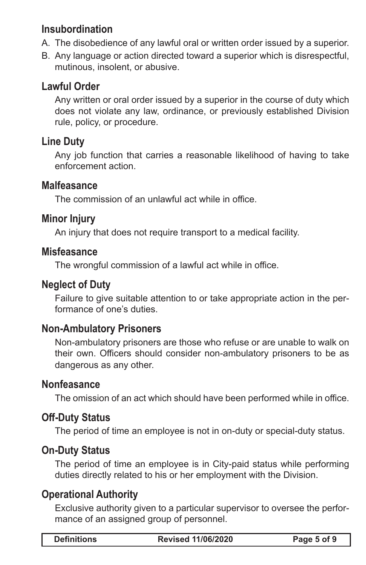## **Insubordination**

- A. The disobedience of any lawful oral or written order issued by a superior.
- B. Any language or action directed toward a superior which is disrespectful, mutinous, insolent, or abusive.

## **Lawful Order**

Any written or oral order issued by a superior in the course of duty which does not violate any law, ordinance, or previously established Division rule, policy, or procedure.

## **Line Duty**

Any job function that carries a reasonable likelihood of having to take enforcement action.

#### **Malfeasance**

The commission of an unlawful act while in office.

## **Minor Injury**

An injury that does not require transport to a medical facility.

#### **Misfeasance**

The wrongful commission of a lawful act while in office.

## **Neglect of Duty**

Failure to give suitable attention to or take appropriate action in the performance of one's duties.

#### **Non-Ambulatory Prisoners**

Non-ambulatory prisoners are those who refuse or are unable to walk on their own. Officers should consider non-ambulatory prisoners to be as dangerous as any other.

#### **Nonfeasance**

The omission of an act which should have been performed while in office.

## **Off-Duty Status**

The period of time an employee is not in on-duty or special-duty status.

## **On-Duty Status**

The period of time an employee is in City-paid status while performing duties directly related to his or her employment with the Division.

## **Operational Authority**

Exclusive authority given to a particular supervisor to oversee the performance of an assigned group of personnel.

| <b>Definitions</b> | <b>Revised 11/06/2020</b> | Page 5 of 9 |
|--------------------|---------------------------|-------------|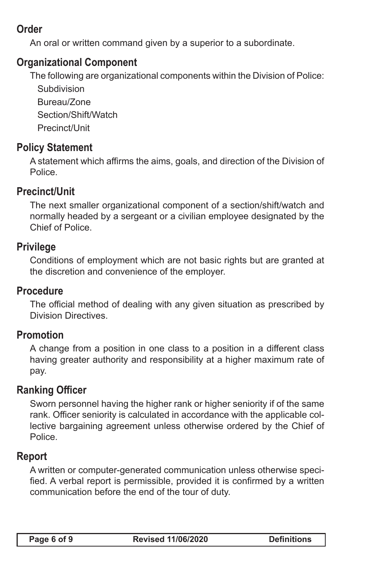# **Order**

An oral or written command given by a superior to a subordinate.

## **Organizational Component**

The following are organizational components within the Division of Police:

**Subdivision** Bureau/Zone Section/Shift/Watch Precinct/Unit

## **Policy Statement**

A statement which affirms the aims, goals, and direction of the Division of Police.

## **Precinct/Unit**

The next smaller organizational component of a section/shift/watch and normally headed by a sergeant or a civilian employee designated by the Chief of Police.

### **Privilege**

Conditions of employment which are not basic rights but are granted at the discretion and convenience of the employer.

#### **Procedure**

The official method of dealing with any given situation as prescribed by Division Directives.

#### **Promotion**

A change from a position in one class to a position in a different class having greater authority and responsibility at a higher maximum rate of pay.

#### **Ranking Officer**

Sworn personnel having the higher rank or higher seniority if of the same rank. Officer seniority is calculated in accordance with the applicable collective bargaining agreement unless otherwise ordered by the Chief of Police.

#### **Report**

A written or computer-generated communication unless otherwise specified. A verbal report is permissible, provided it is confirmed by a written communication before the end of the tour of duty.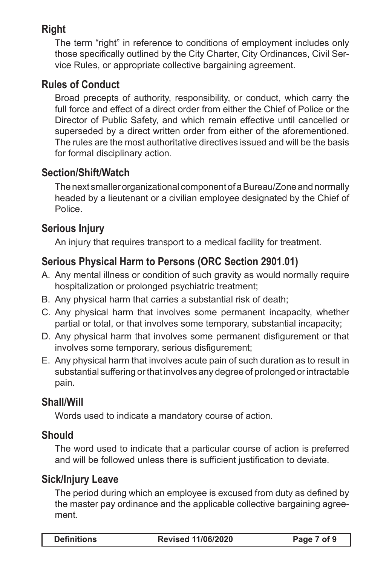# **Right**

The term "right" in reference to conditions of employment includes only those specifically outlined by the City Charter, City Ordinances, Civil Service Rules, or appropriate collective bargaining agreement.

## **Rules of Conduct**

Broad precepts of authority, responsibility, or conduct, which carry the full force and effect of a direct order from either the Chief of Police or the Director of Public Safety, and which remain effective until cancelled or superseded by a direct written order from either of the aforementioned. The rules are the most authoritative directives issued and will be the basis for formal disciplinary action.

## **Section/Shift/Watch**

The next smaller organizational component of a Bureau/Zone and normally headed by a lieutenant or a civilian employee designated by the Chief of Police.

## **Serious Injury**

An injury that requires transport to a medical facility for treatment.

# **Serious Physical Harm to Persons (ORC Section 2901.01)**

- A. Any mental illness or condition of such gravity as would normally require hospitalization or prolonged psychiatric treatment;
- B. Any physical harm that carries a substantial risk of death;
- C. Any physical harm that involves some permanent incapacity, whether partial or total, or that involves some temporary, substantial incapacity;
- D. Any physical harm that involves some permanent disfigurement or that involves some temporary, serious disfigurement;
- E. Any physical harm that involves acute pain of such duration as to result in substantial suffering or that involves any degree of prolonged or intractable pain.

## **Shall/Will**

Words used to indicate a mandatory course of action.

## **Should**

The word used to indicate that a particular course of action is preferred and will be followed unless there is sufficient justification to deviate.

## **Sick/Injury Leave**

The period during which an employee is excused from duty as defined by the master pay ordinance and the applicable collective bargaining agreement.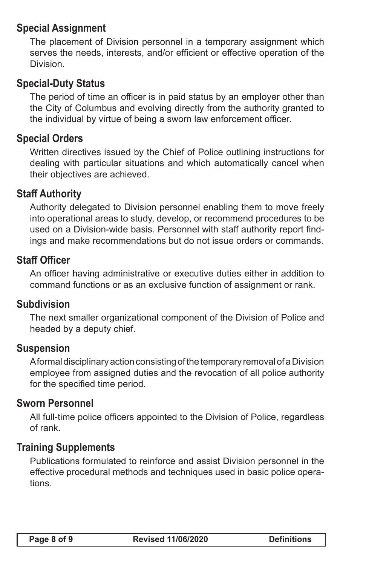### **Special Assignment**

The placement of Division personnel in a temporary assignment which serves the needs, interests, and/or efficient or effective operation of the Division.

## **Special-Duty Status**

The period of time an officer is in paid status by an employer other than the City of Columbus and evolving directly from the authority granted to the individual by virtue of being a sworn law enforcement officer.

### **Special Orders**

Written directives issued by the Chief of Police outlining instructions for dealing with particular situations and which automatically cancel when their objectives are achieved.

### **Staff Authority**

Authority delegated to Division personnel enabling them to move freely into operational areas to study, develop, or recommend procedures to be used on a Division-wide basis. Personnel with staff authority report findings and make recommendations but do not issue orders or commands.

#### **Staff Officer**

An officer having administrative or executive duties either in addition to command functions or as an exclusive function of assignment or rank.

#### **Subdivision**

The next smaller organizational component of the Division of Police and headed by a deputy chief.

#### **Suspension**

A formal disciplinary action consisting of the temporary removal of a Division employee from assigned duties and the revocation of all police authority for the specified time period.

#### **Sworn Personnel**

All full-time police officers appointed to the Division of Police, regardless of rank.

#### **Training Supplements**

Publications formulated to reinforce and assist Division personnel in the effective procedural methods and techniques used in basic police operations.